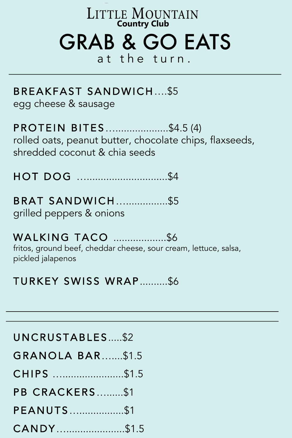# **LITTLE MOUNTAIN Country Club** GRAB & GO EATS

at the turn.

### BREAKFAST SANDWICH….\$5

egg cheese & sausage

PROTEIN BITES…...................\$4.5 (4) rolled oats, peanut butter, chocolate chips, flaxseeds, shredded coconut & chia seeds

HOT DOG ….............................\$4

BRAT SANDWICH…...............\$5 grilled peppers & onions

## WALKING TACO ...................\$6

fritos, ground beef, cheddar cheese, sour cream, lettuce, salsa, pickled jalapenos

## TURKEY SWISS WRAP \$6

#### UNCRUSTABLES .....\$2

- GRANOLA BAR…....\$1.5
- CHIPS …......................\$1.5
- PB CRACKERS…......\$1
- PEANUTS…................\$1
- CANDY….....................\$1.5